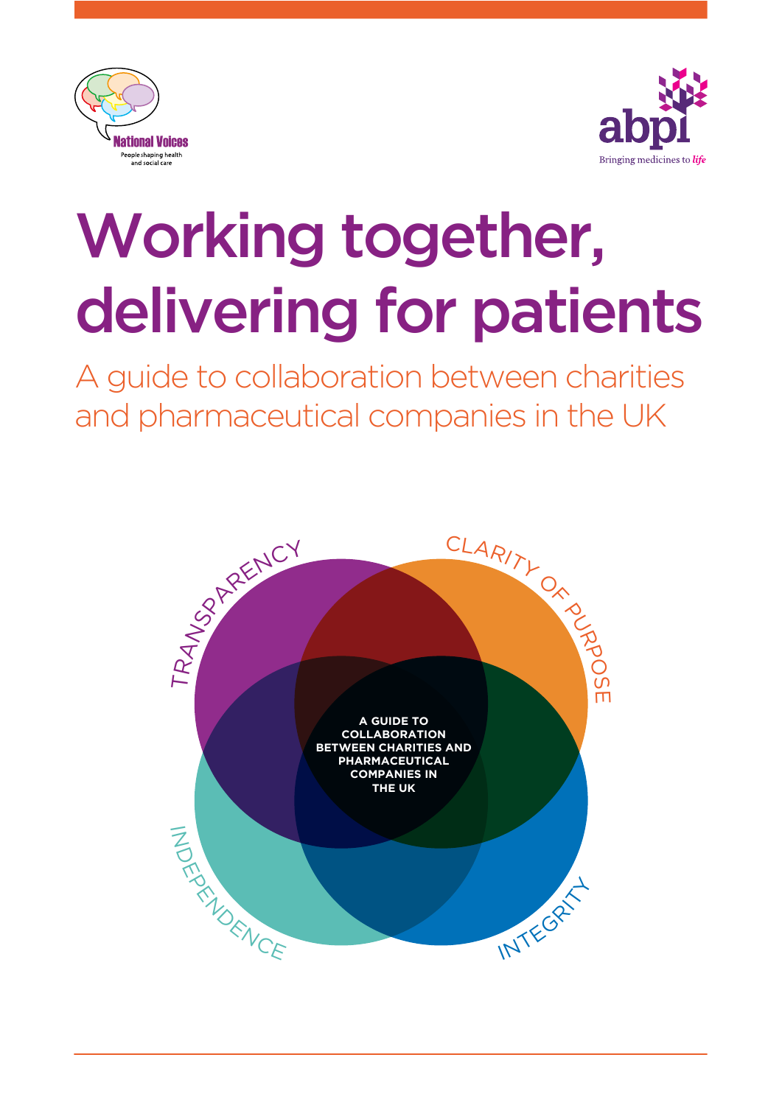



A guide to collaboration between charities and pharmaceutical companies in the UK

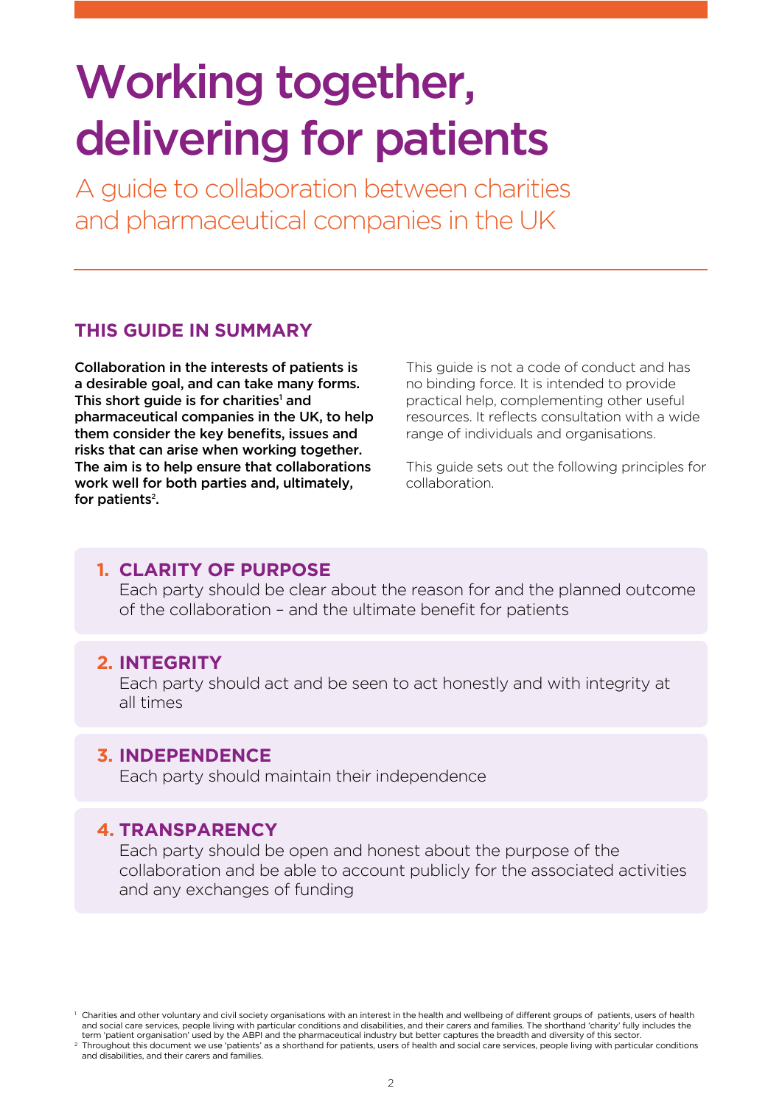A guide to collaboration between charities and pharmaceutical companies in the UK

#### **THIS GUIDE IN SUMMARY**

Collaboration in the interests of patients is a desirable goal, and can take many forms. This short guide is for charities<sup>1</sup> and pharmaceutical companies in the UK, to help them consider the key benefits, issues and risks that can arise when working together. The aim is to help ensure that collaborations work well for both parties and, ultimately, for patients<sup>2</sup>.

This guide is not a code of conduct and has no binding force. It is intended to provide practical help, complementing other useful resources. It reflects consultation with a wide range of individuals and organisations.

This guide sets out the following principles for collaboration.

#### **1. CLARITY OF PURPOSE**

Each party should be clear about the reason for and the planned outcome of the collaboration - and the ultimate benefit for patients

#### **2. INTEGRITY**

Each party should act and be seen to act honestly and with integrity at all times

#### **3. INDEPENDENCE**

Each party should maintain their independence

#### **4. TRANSPARENCY**

Each party should be open and honest about the purpose of the collaboration and be able to account publicly for the associated activities and any exchanges of funding

<sup>1</sup> Charities and other voluntary and civil society organisations with an interest in the health and wellbeing of different groups of patients, users of health and social care services, people living with particular conditions and disabilities, and their carers and families. The shorthand 'charity' fully includes the term 'patient organisation' used by the ABPI and the pharmaceutical industry but better captures the breadth and diversity of this sector.

<sup>2</sup> Throughout this document we use 'patients' as a shorthand for patients, users of health and social care services, people living with particular conditions and disabilities, and their carers and families.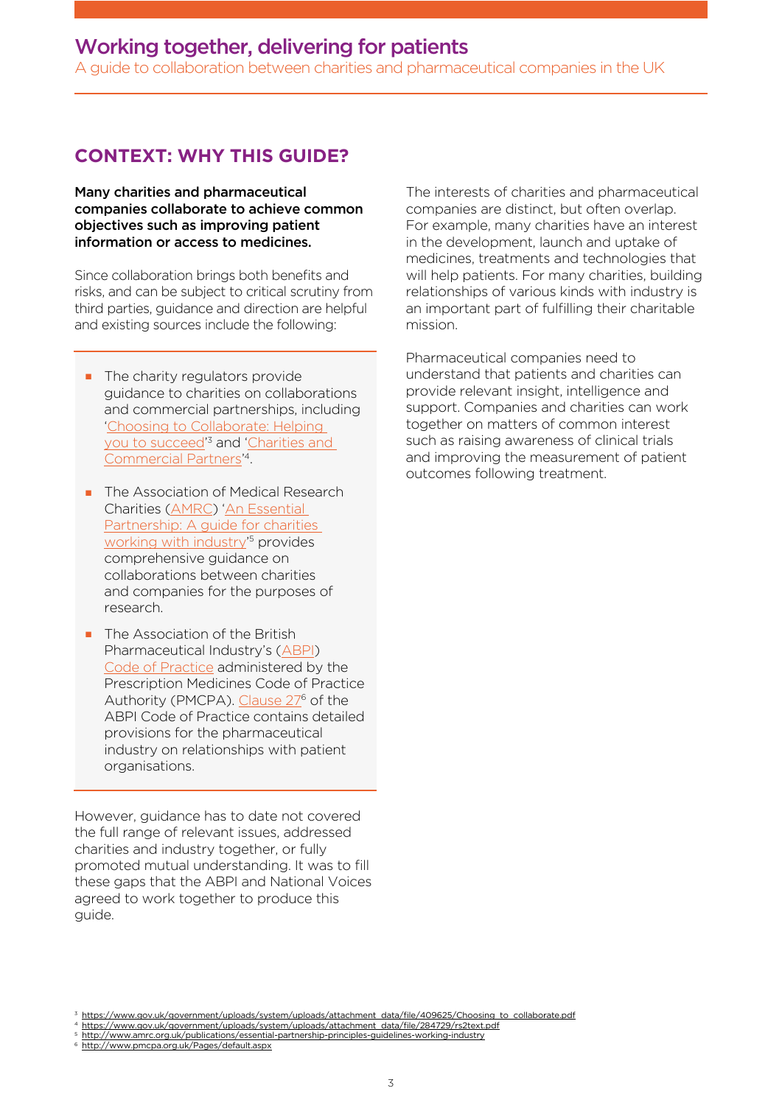A guide to collaboration between charities and pharmaceutical companies in the UK

#### **CONTEXT: WHY THIS GUIDE?**

Many charities and pharmaceutical companies collaborate to achieve common objectives such as improving patient information or access to medicines.

Since collaboration brings both benefits and risks, and can be subject to critical scrutiny from third parties, guidance and direction are helpful and existing sources include the following:

- $\blacksquare$  The charity regulators provide guidance to charities on collaborations and commercial partnerships, including ['Choosing to Collaborate: Helping](https://www.gov.uk/government/uploads/system/uploads/attachment_data/file/409625/Choosing_to_collaborate.pdf)  you to succeed<sup>'3</sup> and 'Charities and [Commercial Partners'](https://www.gov.uk/government/uploads/system/uploads/attachment_data/file/284729/rs2text.pdf) 4.
- **n** The Association of Medical Research Charities (AMRC) 'An Essential [Partnership: A guide for charities](http://www.amrc.org.uk/publications/essential-partnership-principles-guidelines-working-industry)  working with industry' 5 provides comprehensive guidance on collaborations between charities and companies for the purposes of research.
- $\blacksquare$  The Association of the British Pharmaceutical Industry's (ABPI) [Code of Practice administered by](http://www.pmcpa.org.uk/Pages/default.aspx) the Prescription Medicines Code of Practice Authority (PMCPA). Clause 27<sup>6</sup> of the ABPI Code of Practice contains detailed provisions for the pharmaceutical industry on relationships with patient organisations.

However, guidance has to date not covered the full range of relevant issues, addressed charities and industry together, or fully promoted mutual understanding. It was to fll these gaps that the ABPI and National Voices agreed to work together to produce this guide.

The interests of charities and pharmaceutical companies are distinct, but often overlap. For example, many charities have an interest in the development, launch and uptake of medicines, treatments and technologies that will help patients. For many charities, building relationships of various kinds with industry is an important part of fulflling their charitable mission.

Pharmaceutical companies need to understand that patients and charities can provide relevant insight, intelligence and support. Companies and charities can work together on matters of common interest such as raising awareness of clinical trials and improving the measurement of patient outcomes following treatment.

<sup>4</sup> https://www.gov.uk/government/uploads/system/uploads/attachment\_data/fle/284729/rs2text.pdf <sup>5</sup> http://www.amrc.org.uk/publications/essential-partnership-principles-guidelines-working-industry

https://www.gov.uk/government/uploads/system/uploads/attachment\_data/file/409625/Choosing\_to\_collaborate.pdf

http://www.pmcpa.org.uk/Pages/default.aspx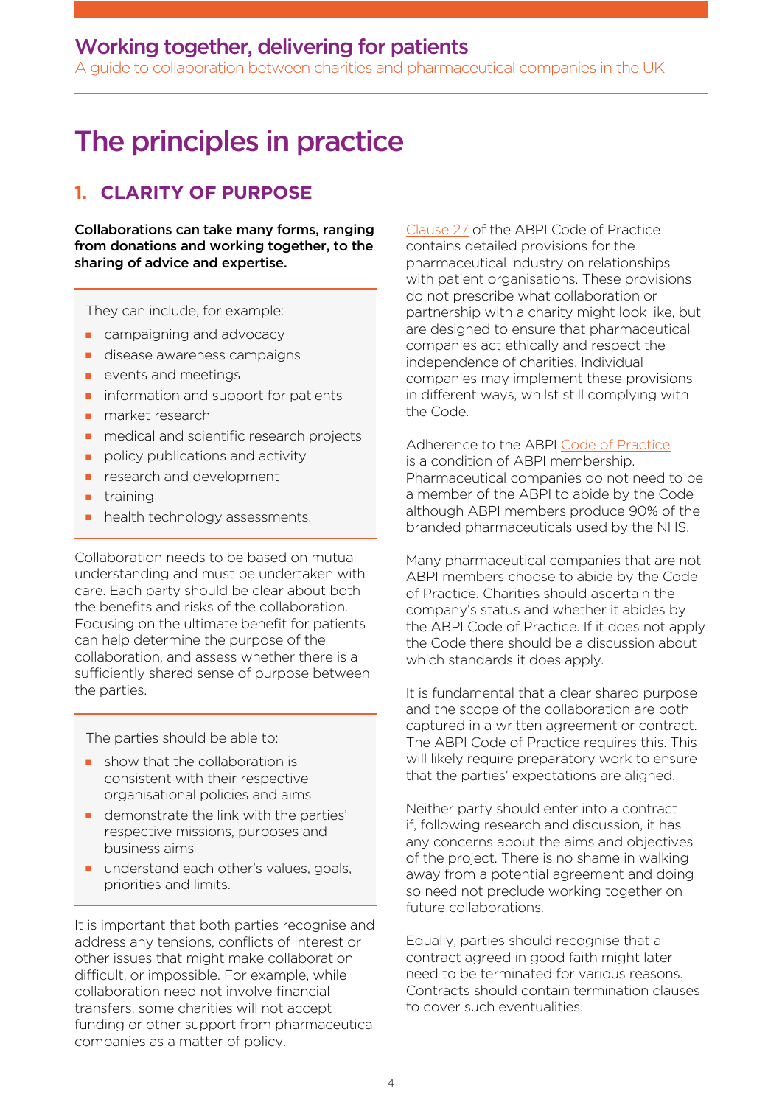A guide to collaboration between charities and pharmaceutical companies in the UK

### The principles in practice

#### **1. CLARITY OF PURPOSE**

Collaborations can take many forms, ranging from donations and working together, to the sharing of advice and expertise.

They can include, for example:

- $\blacksquare$  campaigning and advocacy
- **n** disease awareness campaigns
- $\blacksquare$  events and meetings
- $\blacksquare$  information and support for patients
- $\blacksquare$  market research
- $n$  medical and scientific research projects
- $\blacksquare$  policy publications and activity
- **n** research and development
- training
- health technology assessments.

Collaboration needs to be based on mutual understanding and must be undertaken with care. Each party should be clear about both the benefits and risks of the collaboration. Focusing on the ultimate benefit for patients can help determine the purpose of the collaboration, and assess whether there is a sufficiently shared sense of purpose between the parties.

The parties should be able to:

- $\blacksquare$  show that the collaboration is consistent with their respective organisational policies and aims
- $\blacksquare$  demonstrate the link with the parties' respective missions, purposes and business aims
- **n** understand each other's values, goals, priorities and limits.

It is important that both parties recognise and address any tensions, conficts of interest or other issues that might make collaboration difficult, or impossible. For example, while collaboration need not involve fnancial transfers, some charities will not accept funding or other support from pharmaceutical companies as a matter of policy.

[Clause 27](http://www.pmcpa.org.uk/thecode/Pages/default.aspx) of the ABPI Code of Practice contains detailed provisions for the pharmaceutical industry on relationships with patient organisations. These provisions do not prescribe what collaboration or partnership with a charity might look like, but are designed to ensure that pharmaceutical companies act ethically and respect the independence of charities. Individual companies may implement these provisions in different ways, whilst still complying with the Code.

Adherence to the ABP[I Code of Practice](http://www.pmcpa.org.uk/thecode/Pages/default.aspx) is a condition of ABPI membership. Pharmaceutical companies do not need to be a member of the ABPI to abide by the Code although ABPI members produce 90% of the branded pharmaceuticals used by the NHS.

Many pharmaceutical companies that are not ABPI members choose to abide by the Code of Practice. Charities should ascertain the company's status and whether it abides by the ABPI Code of Practice. If it does not apply the Code there should be a discussion about which standards it does apply.

It is fundamental that a clear shared purpose and the scope of the collaboration are both captured in a written agreement or contract. The ABPI Code of Practice requires this. This will likely require preparatory work to ensure that the parties' expectations are aligned.

Neither party should enter into a contract if, following research and discussion, it has any concerns about the aims and objectives of the project. There is no shame in walking away from a potential agreement and doing so need not preclude working together on future collaborations.

Equally, parties should recognise that a contract agreed in good faith might later need to be terminated for various reasons. Contracts should contain termination clauses to cover such eventualities.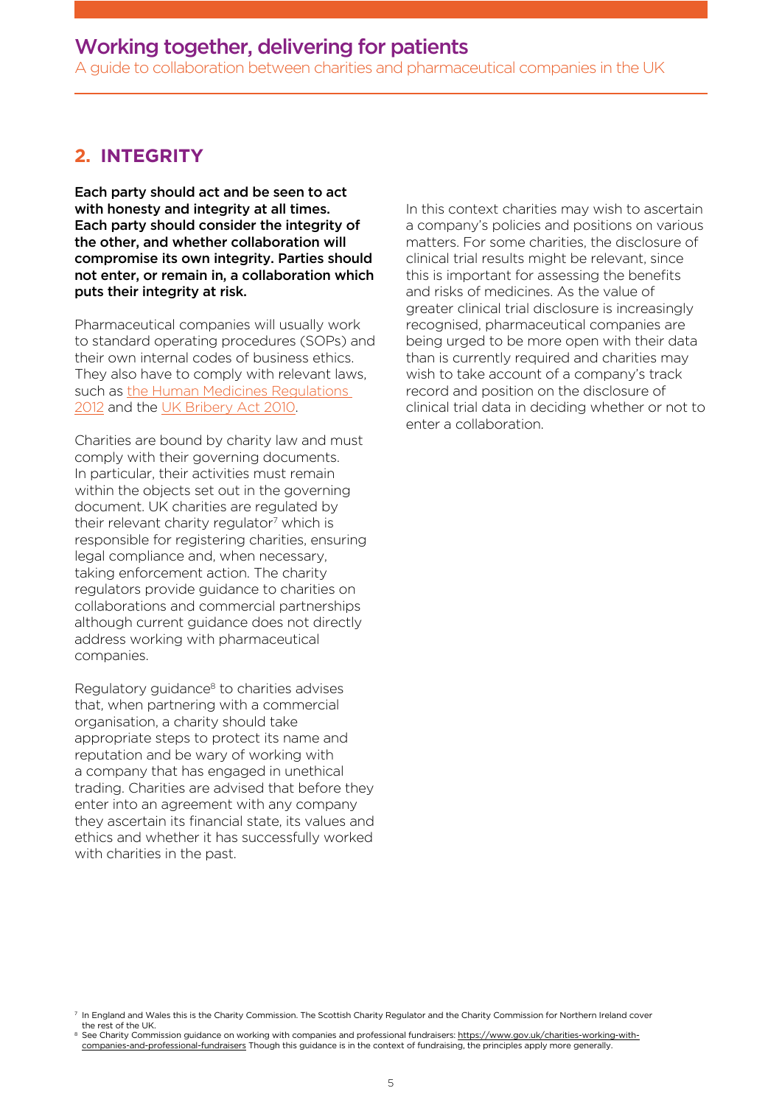A guide to collaboration between charities and pharmaceutical companies in the UK

#### **2. INTEGRITY**

Each party should act and be seen to act with honesty and integrity at all times. Each party should consider the integrity of the other, and whether collaboration will compromise its own integrity. Parties should not enter, or remain in, a collaboration which puts their integrity at risk.

Pharmaceutical companies will usually work to standard operating procedures (SOPs) and their own internal codes of business ethics. They also have to comply with relevant laws, such a[s the Human Medicines Regulations](http://www.legislation.gov.uk/uksi/2012/1916/contents/made)  [2012 a](http://www.legislation.gov.uk/uksi/2012/1916/contents/made)nd the [UK Bribery Act 2010.](http://www.legislation.gov.uk/ukpga/2010/23/contents) 

Charities are bound by charity law and must comply with their governing documents. In particular, their activities must remain within the objects set out in the governing document. UK charities are regulated by their relevant charity regulator<sup>7</sup> which is responsible for registering charities, ensuring legal compliance and, when necessary, taking enforcement action. The charity regulators provide guidance to charities on collaborations and commercial partnerships although current guidance does not directly address working with pharmaceutical companies.

Regulatory guidance<sup>8</sup> to charities advises that, when partnering with a commercial organisation, a charity should take appropriate steps to protect its name and reputation and be wary of working with a company that has engaged in unethical trading. Charities are advised that before they enter into an agreement with any company they ascertain its financial state, its values and ethics and whether it has successfully worked with charities in the past.

In this context charities may wish to ascertain a company's policies and positions on various matters. For some charities, the disclosure of clinical trial results might be relevant, since this is important for assessing the benefits and risks of medicines. As the value of greater clinical trial disclosure is increasingly recognised, pharmaceutical companies are being urged to be more open with their data than is currently required and charities may wish to take account of a company's track record and position on the disclosure of clinical trial data in deciding whether or not to enter a collaboration.

<sup>7</sup> In England and Wales this is the Charity Commission. The Scottish Charity Regulator and the Charity Commission for Northern Ireland cover the rest of the UK.

<sup>8</sup> See Charity Commission guidance on working with companies and professional fundraisers: https://www.gov.uk/charities-working-withcompanies-and-professional-fundraisers Though this guidance is in the context of fundraising, the principles apply more generally.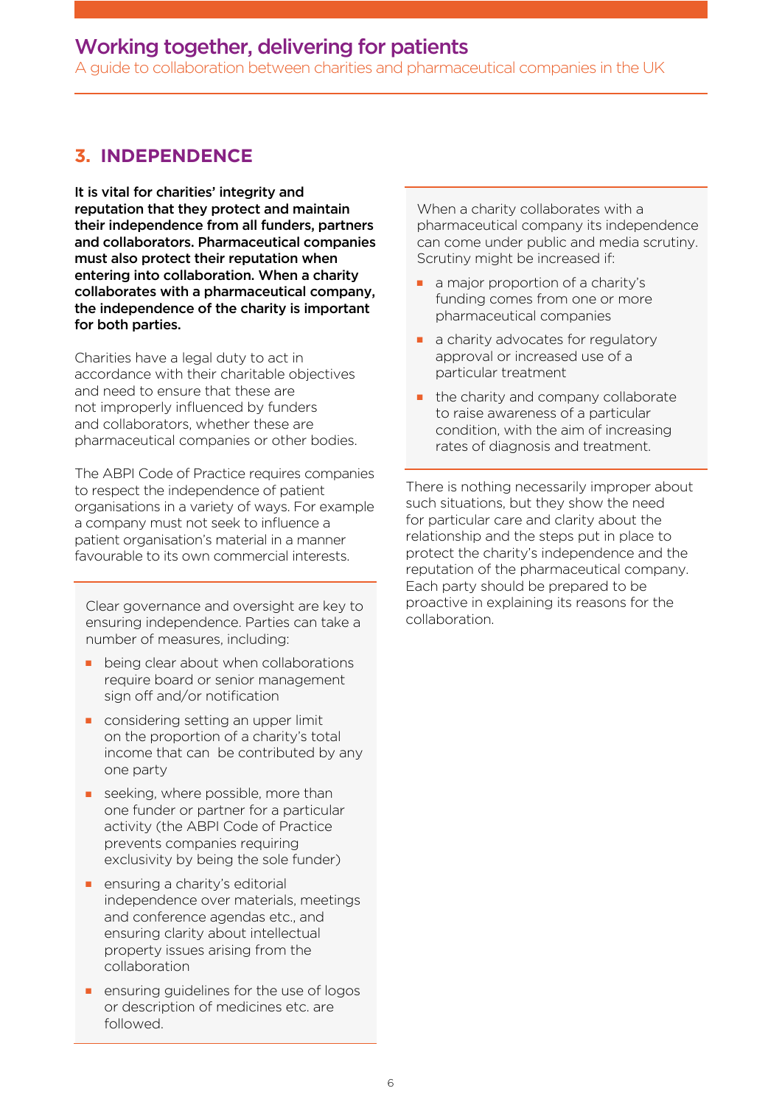A guide to collaboration between charities and pharmaceutical companies in the UK

#### **3. INDEPENDENCE**

It is vital for charities' integrity and reputation that they protect and maintain their independence from all funders, partners and collaborators. Pharmaceutical companies must also protect their reputation when entering into collaboration. When a charity collaborates with a pharmaceutical company, the independence of the charity is important for both parties.

Charities have a legal duty to act in accordance with their charitable objectives and need to ensure that these are not improperly infuenced by funders and collaborators, whether these are pharmaceutical companies or other bodies.

The ABPI Code of Practice requires companies to respect the independence of patient organisations in a variety of ways. For example a company must not seek to infuence a patient organisation's material in a manner favourable to its own commercial interests.

Clear governance and oversight are key to ensuring independence. Parties can take a number of measures, including:

- being clear about when collaborations require board or senior management sign off and/or notification
- $\blacksquare$  considering setting an upper limit on the proportion of a charity's total income that can be contributed by any one party
- $\blacksquare$  seeking, where possible, more than one funder or partner for a particular activity (the ABPI Code of Practice prevents companies requiring exclusivity by being the sole funder)
- $\blacksquare$  ensuring a charity's editorial independence over materials, meetings and conference agendas etc., and ensuring clarity about intellectual property issues arising from the collaboration
- ensuring guidelines for the use of logos or description of medicines etc. are followed.

When a charity collaborates with a pharmaceutical company its independence can come under public and media scrutiny. Scrutiny might be increased if:

- a major proportion of a charity's funding comes from one or more pharmaceutical companies
- a charity advocates for regulatory approval or increased use of a particular treatment
- the charity and company collaborate to raise awareness of a particular condition, with the aim of increasing rates of diagnosis and treatment.

There is nothing necessarily improper about such situations, but they show the need for particular care and clarity about the relationship and the steps put in place to protect the charity's independence and the reputation of the pharmaceutical company. Each party should be prepared to be proactive in explaining its reasons for the collaboration.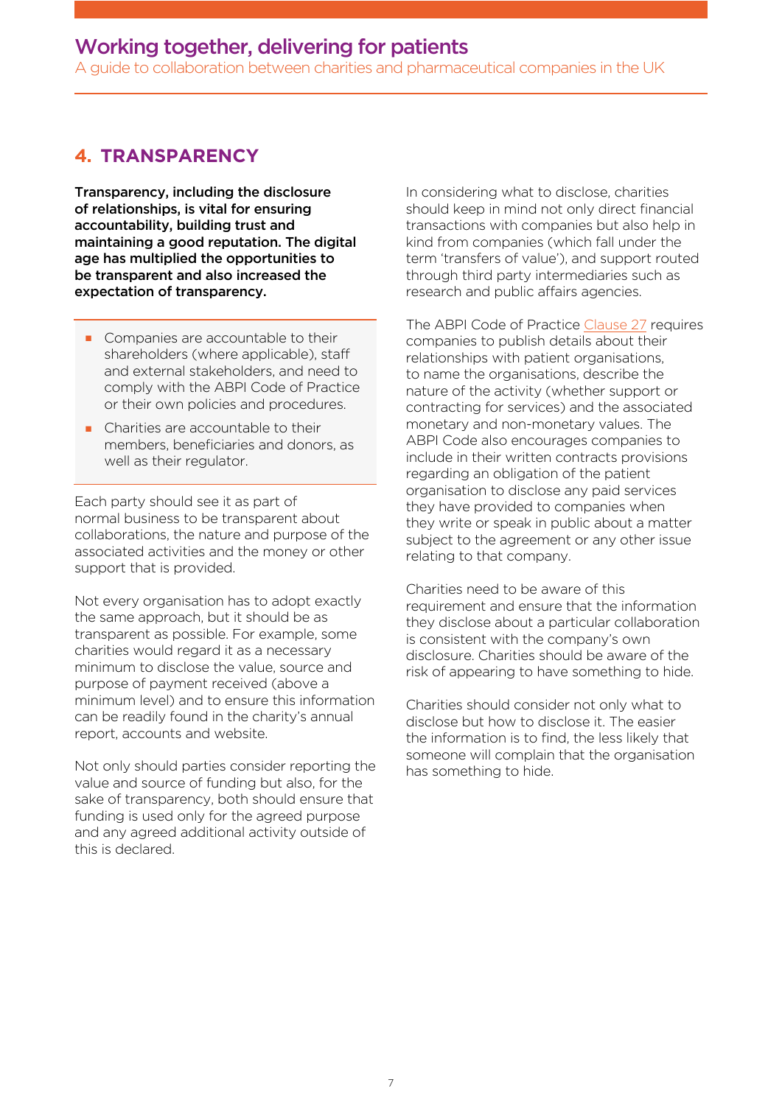A guide to collaboration between charities and pharmaceutical companies in the UK

#### **4. TRANSPARENCY**

Transparency, including the disclosure of relationships, is vital for ensuring accountability, building trust and maintaining a good reputation. The digital age has multiplied the opportunities to be transparent and also increased the expectation of transparency.

- Companies are accountable to their shareholders (where applicable), staff and external stakeholders, and need to comply with the ABPI Code of Practice or their own policies and procedures.
- Charities are accountable to their members, beneficiaries and donors, as well as their regulator.

Each party should see it as part of normal business to be transparent about collaborations, the nature and purpose of the associated activities and the money or other support that is provided.

Not every organisation has to adopt exactly the same approach, but it should be as transparent as possible. For example, some charities would regard it as a necessary minimum to disclose the value, source and purpose of payment received (above a minimum level) and to ensure this information can be readily found in the charity's annual report, accounts and website.

Not only should parties consider reporting the value and source of funding but also, for the sake of transparency, both should ensure that funding is used only for the agreed purpose and any agreed additional activity outside of this is declared.

In considering what to disclose, charities should keep in mind not only direct fnancial transactions with companies but also help in kind from companies (which fall under the term 'transfers of value'), and support routed through third party intermediaries such as research and public affairs agencies.

The ABPI Code of Practic[e Clause 27 r](http://www.pmcpa.org.uk/thecode/Pages/default.aspx)equires companies to publish details about their relationships with patient organisations, to name the organisations, describe the nature of the activity (whether support or contracting for services) and the associated monetary and non-monetary values. The ABPI Code also encourages companies to include in their written contracts provisions regarding an obligation of the patient organisation to disclose any paid services they have provided to companies when they write or speak in public about a matter subject to the agreement or any other issue relating to that company.

Charities need to be aware of this requirement and ensure that the information they disclose about a particular collaboration is consistent with the company's own disclosure. Charities should be aware of the risk of appearing to have something to hide.

Charities should consider not only what to disclose but how to disclose it. The easier the information is to find, the less likely that someone will complain that the organisation has something to hide.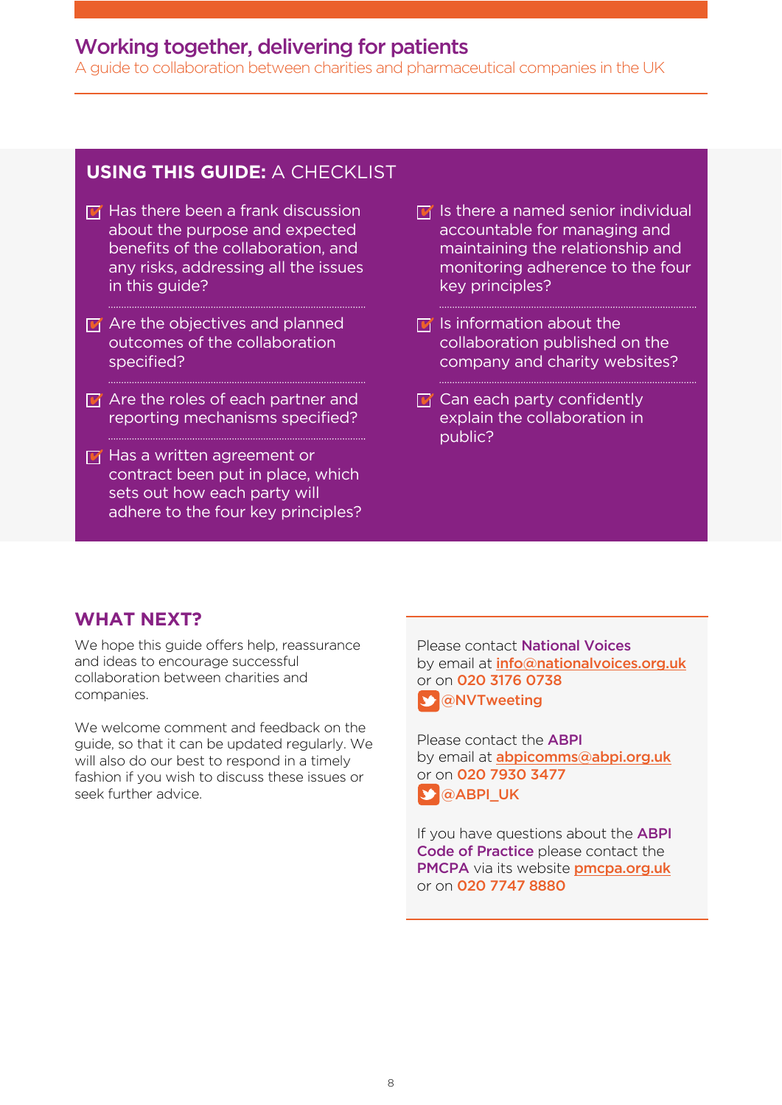A guide to collaboration between charities and pharmaceutical companies in the UK

#### **USING THIS GUIDE:** A CHECKLIST

- $\mathbf{u}$  Has there been a frank discussion about the purpose and expected benefits of the collaboration, and any risks, addressing all the issues in this guide?
- $\mathbf{F}$  Are the objectives and planned outcomes of the collaboration specified?
- $\blacksquare$  Are the roles of each partner and reporting mechanisms specifed?
- **F** Has a written agreement or contract been put in place, which sets out how each party will adhere to the four key principles?
- $\mathbf{F}$  Is there a named senior individual accountable for managing and maintaining the relationship and monitoring adherence to the four key principles?
- $\mathbf{F}$  Is information about the collaboration published on the company and charity websites?
- $\mathbf{F}$  Can each party confidently explain the collaboration in public?

#### **WHAT NEXT?**

We hope this quide offers help, reassurance and ideas to encourage successful collaboration between charities and companies.

We welcome comment and feedback on the guide, so that it can be updated regularly. We will also do our best to respond in a timely fashion if you wish to discuss these issues or seek further advice.

Please contact National Voices by email at *info*@nationalvoices.org.uk or on 020 3176 0738 **S** [@NVTweeting](https://twitter.com/NVTweeting)

Please contact the ABPI by email at **abpicomms@abpi.org.uk** or on 020 7930 3477 S @ABPI UK

If you have questions about the **ABPI** Code of Practice please contact the PMCPA via its website [pmcpa.org.uk](www.pmcpa.org.uk) or on 020 7747 8880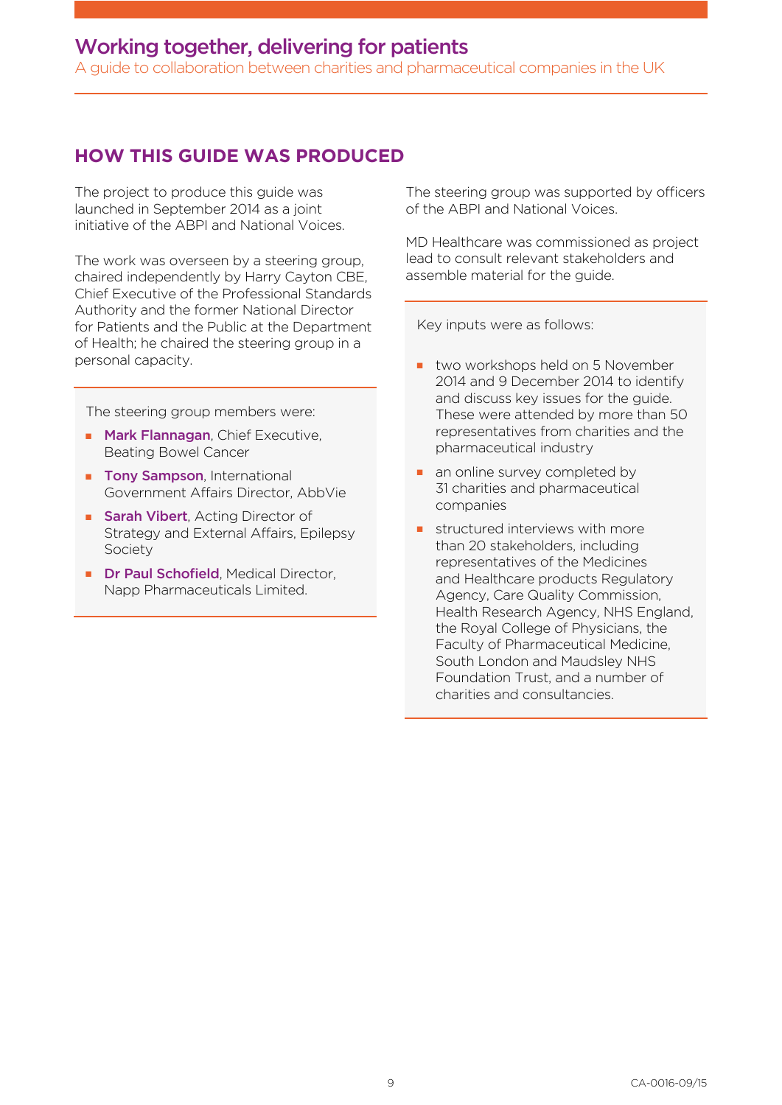A guide to collaboration between charities and pharmaceutical companies in the UK

#### **HOW THIS GUIDE WAS PRODUCED**

The project to produce this guide was launched in September 2014 as a joint initiative of the ABPI and National Voices.

The work was overseen by a steering group, chaired independently by Harry Cayton CBE, Chief Executive of the Professional Standards Authority and the former National Director for Patients and the Public at the Department of Health; he chaired the steering group in a personal capacity.

The steering group members were:

- **n Mark Flannagan**, Chief Executive, Beating Bowel Cancer
- **Tony Sampson, International** Government Affairs Director, AbbVie
- **sarah Vibert**, Acting Director of Strategy and External Affairs, Epilepsy Society
- **n Dr Paul Schofield**, Medical Director, Napp Pharmaceuticals Limited.

The steering group was supported by officers of the ABPI and National Voices.

MD Healthcare was commissioned as project lead to consult relevant stakeholders and assemble material for the guide.

Key inputs were as follows:

- two workshops held on 5 November 2014 and 9 December 2014 to identify and discuss key issues for the guide. These were attended by more than 50 representatives from charities and the pharmaceutical industry
- an online survey completed by 31 charities and pharmaceutical companies
- $\blacksquare$  structured interviews with more than 20 stakeholders, including representatives of the Medicines and Healthcare products Regulatory Agency, Care Quality Commission, Health Research Agency, NHS England, the Royal College of Physicians, the Faculty of Pharmaceutical Medicine, South London and Maudsley NHS Foundation Trust, and a number of charities and consultancies.